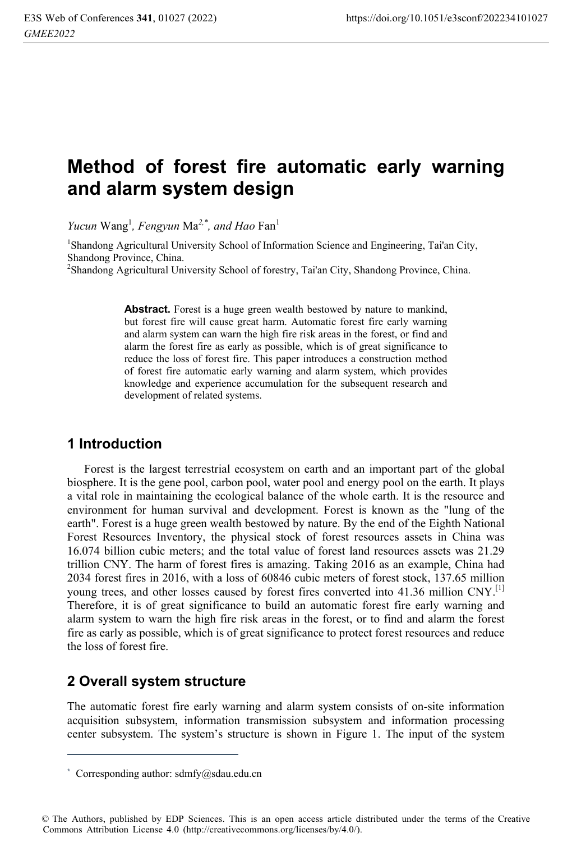# **Method of forest fire automatic early warning and alarm system design**

*Yucun* Wang<sup>1</sup>, Fengyun Ma<sup>2,\*</sup>, and Hao Fan<sup>1</sup>

<sup>1</sup>Shandong Agricultural University School of Information Science and Engineering, Tai'an City, Shandong Province, China.

<sup>2</sup>Shandong Agricultural University School of forestry, Tai'an City, Shandong Province, China.

**Abstract.** Forest is a huge green wealth bestowed by nature to mankind, but forest fire will cause great harm. Automatic forest fire early warning and alarm system can warn the high fire risk areas in the forest, or find and alarm the forest fire as early as possible, which is of great significance to reduce the loss of forest fire. This paper introduces a construction method of forest fire automatic early warning and alarm system, which provides knowledge and experience accumulation for the subsequent research and development of related systems.

## **1 Introduction**

Forest is the largest terrestrial ecosystem on earth and an important part of the global biosphere. It is the gene pool, carbon pool, water pool and energy pool on the earth. It plays a vital role in maintaining the ecological balance of the whole earth. It is the resource and environment for human survival and development. Forest is known as the "lung of the earth". Forest is a huge green wealth bestowed by nature. By the end of the Eighth National Forest Resources Inventory, the physical stock of forest resources assets in China was 16.074 billion cubic meters; and the total value of forest land resources assets was 21.29 trillion CNY. The harm of forest fires is amazing. Taking 2016 as an example, China had 2034 forest fires in 2016, with a loss of 60846 cubic meters of forest stock, 137.65 million young trees, and other losses caused by forest fires converted into 41.36 million CNY.<sup>[1]</sup> Therefore, it is of great significance to build an automatic forest fire early warning and alarm system to warn the high fire risk areas in the forest, or to find and alarm the forest fire as early as possible, which is of great significance to protect forest resources and reduce the loss of forest fire.

## **2 Overall system structure**

The automatic forest fire early warning and alarm system consists of on-site information acquisition subsystem, information transmission subsystem and information processing center subsystem. The system's structure is shown in Figure 1. The input of the system

<u> 1989 - Johann Barn, mars ar breithinn ar chuid ann an t-</u>

© The Authors, published by EDP Sciences. This is an open access article distributed under the terms of the Creative Commons Attribution License 4.0 (http://creativecommons.org/licenses/by/4.0/).

 $*$  Corresponding author: sdmfy@sdau.edu.cn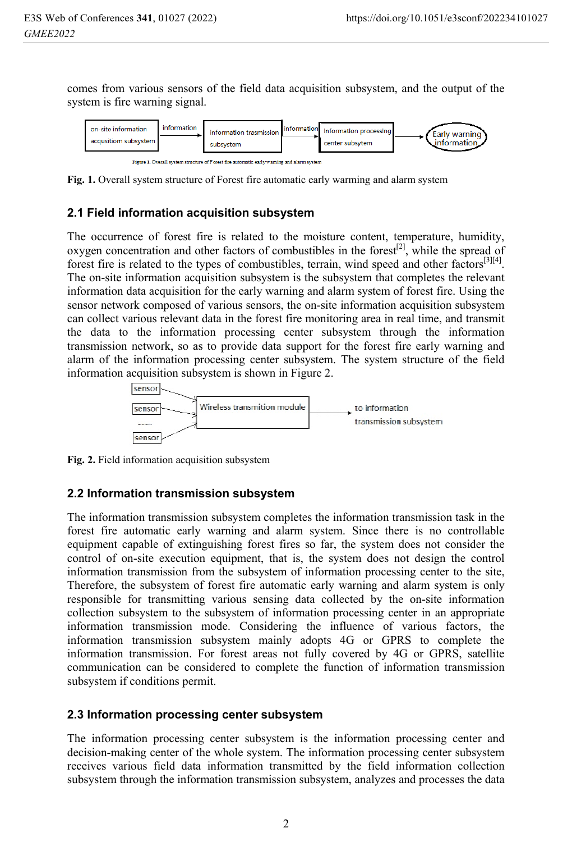comes from various sensors of the field data acquisition subsystem, and the output of the system is fire warning signal.





**Fig. 1.** Overall system structure of Forest fire automatic early warming and alarm system

#### **2.1 Field information acquisition subsystem**

The occurrence of forest fire is related to the moisture content, temperature, humidity, oxygen concentration and other factors of combustibles in the forest<sup>[2]</sup>, while the spread of forest fire is related to the types of combustibles, terrain, wind speed and other factors<sup>[3][4]</sup>. The on-site information acquisition subsystem is the subsystem that completes the relevant information data acquisition for the early warning and alarm system of forest fire. Using the sensor network composed of various sensors, the on-site information acquisition subsystem can collect various relevant data in the forest fire monitoring area in real time, and transmit the data to the information processing center subsystem through the information transmission network, so as to provide data support for the forest fire early warning and alarm of the information processing center subsystem. The system structure of the field information acquisition subsystem is shown in Figure 2.



**Fig. 2.** Field information acquisition subsystem

### **2.2 Information transmission subsystem**

The information transmission subsystem completes the information transmission task in the forest fire automatic early warning and alarm system. Since there is no controllable equipment capable of extinguishing forest fires so far, the system does not consider the control of on-site execution equipment, that is, the system does not design the control information transmission from the subsystem of information processing center to the site, Therefore, the subsystem of forest fire automatic early warning and alarm system is only responsible for transmitting various sensing data collected by the on-site information collection subsystem to the subsystem of information processing center in an appropriate information transmission mode. Considering the influence of various factors, the information transmission subsystem mainly adopts 4G or GPRS to complete the information transmission. For forest areas not fully covered by 4G or GPRS, satellite communication can be considered to complete the function of information transmission subsystem if conditions permit.

#### **2.3 Information processing center subsystem**

The information processing center subsystem is the information processing center and decision-making center of the whole system. The information processing center subsystem receives various field data information transmitted by the field information collection subsystem through the information transmission subsystem, analyzes and processes the data